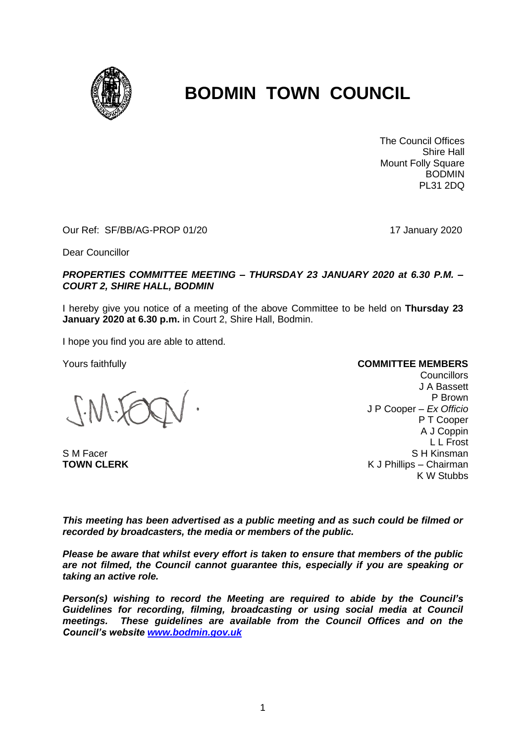

# **BODMIN TOWN COUNCIL**

The Council Offices Shire Hall Mount Folly Square BODMIN PL31 2DQ

Our Ref: SF/BB/AG-PROP 01/20 17 January 2020

Dear Councillor

#### *PROPERTIES COMMITTEE MEETING – THURSDAY 23 JANUARY 2020 at 6.30 P.M. – COURT 2, SHIRE HALL, BODMIN*

I hereby give you notice of a meeting of the above Committee to be held on **Thursday 23 January 2020 at 6.30 p.m.** in Court 2, Shire Hall, Bodmin.

I hope you find you are able to attend.

Yours faithfully

S M Facer **TOWN CLERK**

**COMMITTEE MEMBERS**

**Councillors** J A Bassett P Brown J P Cooper – *Ex Officio* P T Cooper A J Coppin L L Frost S H Kinsman K J Phillips – Chairman K W Stubbs

*This meeting has been advertised as a public meeting and as such could be filmed or recorded by broadcasters, the media or members of the public.*

*Please be aware that whilst every effort is taken to ensure that members of the public are not filmed, the Council cannot guarantee this, especially if you are speaking or taking an active role.*

*Person(s) wishing to record the Meeting are required to abide by the Council's Guidelines for recording, filming, broadcasting or using social media at Council meetings. These guidelines are available from the Council Offices and on the Council's website [www.bodmin.gov.uk](http://www.bodmin.gov.uk/)*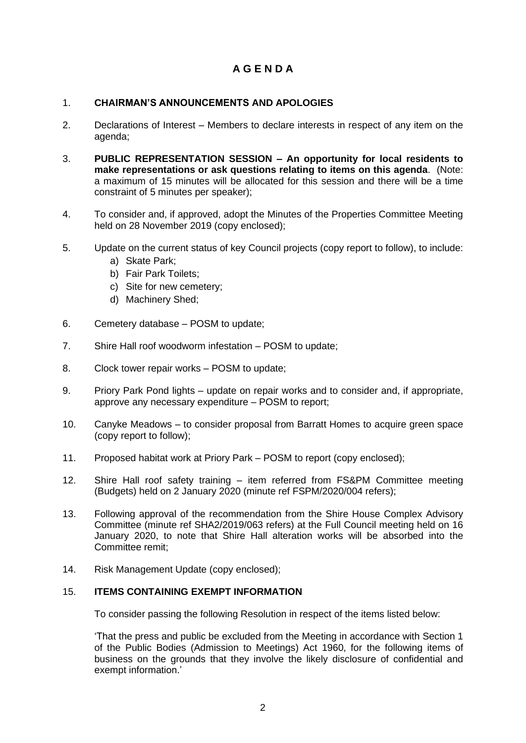## **A G E N D A**

## 1. **CHAIRMAN'S ANNOUNCEMENTS AND APOLOGIES**

- 2. Declarations of Interest Members to declare interests in respect of any item on the agenda;
- 3. **PUBLIC REPRESENTATION SESSION – An opportunity for local residents to make representations or ask questions relating to items on this agenda**. (Note: a maximum of 15 minutes will be allocated for this session and there will be a time constraint of 5 minutes per speaker);
- 4. To consider and, if approved, adopt the Minutes of the Properties Committee Meeting held on 28 November 2019 (copy enclosed);
- 5. Update on the current status of key Council projects (copy report to follow), to include:
	- a) Skate Park;
	- b) Fair Park Toilets;
	- c) Site for new cemetery;
	- d) Machinery Shed;
- 6. Cemetery database POSM to update;
- 7. Shire Hall roof woodworm infestation POSM to update;
- 8. Clock tower repair works POSM to update;
- 9. Priory Park Pond lights update on repair works and to consider and, if appropriate, approve any necessary expenditure – POSM to report;
- 10. Canyke Meadows to consider proposal from Barratt Homes to acquire green space (copy report to follow);
- 11. Proposed habitat work at Priory Park POSM to report (copy enclosed);
- 12. Shire Hall roof safety training item referred from FS&PM Committee meeting (Budgets) held on 2 January 2020 (minute ref FSPM/2020/004 refers);
- 13. Following approval of the recommendation from the Shire House Complex Advisory Committee (minute ref SHA2/2019/063 refers) at the Full Council meeting held on 16 January 2020, to note that Shire Hall alteration works will be absorbed into the Committee remit;
- 14. Risk Management Update (copy enclosed);

### 15. **ITEMS CONTAINING EXEMPT INFORMATION**

To consider passing the following Resolution in respect of the items listed below:

'That the press and public be excluded from the Meeting in accordance with Section 1 of the Public Bodies (Admission to Meetings) Act 1960, for the following items of business on the grounds that they involve the likely disclosure of confidential and exempt information.'